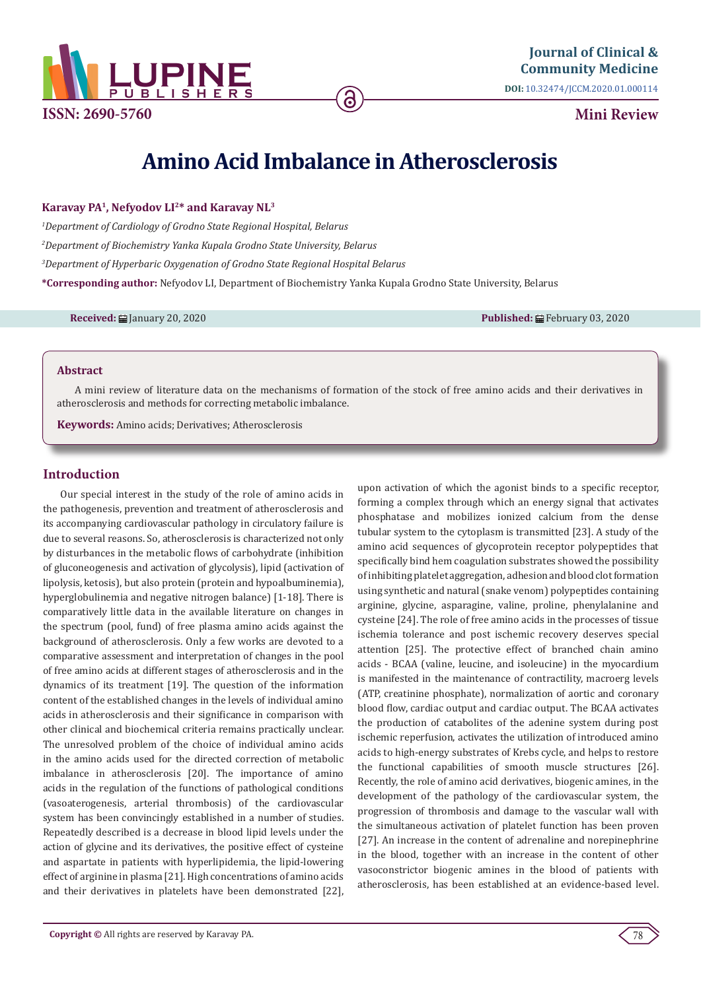

**Mini Review**

# **Amino Acid Imbalance in Atherosclerosis**

ခြ

#### **Karavay PA1, Nefyodov LI2\* and Karavay NL3**

 *Department of Cardiology of Grodno State Regional Hospital, Belarus Department of Biochemistry Yanka Kupala Grodno State University, Belarus Department of Hyperbaric Oxygenation of Grodno State Regional Hospital Belarus* **\*Corresponding author:** Nefyodov LI, Department of Biochemistry Yanka Kupala Grodno State University, Belarus

**Received:** January 20, 2020 **Published:** February 03, 2020

#### **Abstract**

A mini review of literature data on the mechanisms of formation of the stock of free amino acids and their derivatives in atherosclerosis and methods for correcting metabolic imbalance.

**Keywords:** Amino acids; Derivatives; Atherosclerosis

### **Introduction**

Our special interest in the study of the role of amino acids in the pathogenesis, prevention and treatment of atherosclerosis and its accompanying cardiovascular pathology in circulatory failure is due to several reasons. So, atherosclerosis is characterized not only by disturbances in the metabolic flows of carbohydrate (inhibition of gluconeogenesis and activation of glycolysis), lipid (activation of lipolysis, ketosis), but also protein (protein and hypoalbuminemia), hyperglobulinemia and negative nitrogen balance) [1-18]. There is comparatively little data in the available literature on changes in the spectrum (pool, fund) of free plasma amino acids against the background of atherosclerosis. Only a few works are devoted to a comparative assessment and interpretation of changes in the pool of free amino acids at different stages of atherosclerosis and in the dynamics of its treatment [19]. The question of the information content of the established changes in the levels of individual amino acids in atherosclerosis and their significance in comparison with other clinical and biochemical criteria remains practically unclear. The unresolved problem of the choice of individual amino acids in the amino acids used for the directed correction of metabolic imbalance in atherosclerosis [20]. The importance of amino acids in the regulation of the functions of pathological conditions (vasoaterogenesis, arterial thrombosis) of the cardiovascular system has been convincingly established in a number of studies. Repeatedly described is a decrease in blood lipid levels under the action of glycine and its derivatives, the positive effect of cysteine and aspartate in patients with hyperlipidemia, the lipid-lowering effect of arginine in plasma [21]. High concentrations of amino acids and their derivatives in platelets have been demonstrated [22],

upon activation of which the agonist binds to a specific receptor, forming a complex through which an energy signal that activates phosphatase and mobilizes ionized calcium from the dense tubular system to the cytoplasm is transmitted [23]. A study of the amino acid sequences of glycoprotein receptor polypeptides that specifically bind hem coagulation substrates showed the possibility of inhibiting platelet aggregation, adhesion and blood clot formation using synthetic and natural (snake venom) polypeptides containing arginine, glycine, asparagine, valine, proline, phenylalanine and cysteine [24]. The role of free amino acids in the processes of tissue ischemia tolerance and post ischemic recovery deserves special attention [25]. The protective effect of branched chain amino acids - BCAA (valine, leucine, and isoleucine) in the myocardium is manifested in the maintenance of contractility, macroerg levels (ATP, creatinine phosphate), normalization of aortic and coronary blood flow, cardiac output and cardiac output. The BCAA activates the production of catabolites of the adenine system during post ischemic reperfusion, activates the utilization of introduced amino acids to high-energy substrates of Krebs cycle, and helps to restore the functional capabilities of smooth muscle structures [26]. Recently, the role of amino acid derivatives, biogenic amines, in the development of the pathology of the cardiovascular system, the progression of thrombosis and damage to the vascular wall with the simultaneous activation of platelet function has been proven [27]. An increase in the content of adrenaline and norepinephrine in the blood, together with an increase in the content of other vasoconstrictor biogenic amines in the blood of patients with atherosclerosis, has been established at an evidence-based level.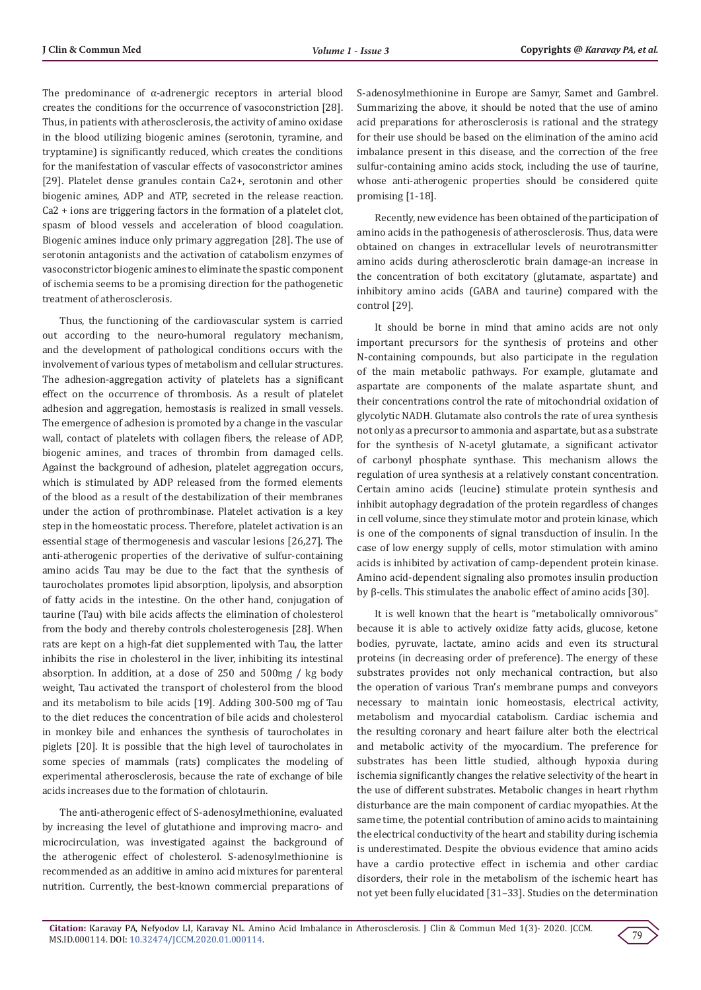The predominance of α-adrenergic receptors in arterial blood creates the conditions for the occurrence of vasoconstriction [28]. Thus, in patients with atherosclerosis, the activity of amino oxidase in the blood utilizing biogenic amines (serotonin, tyramine, and tryptamine) is significantly reduced, which creates the conditions for the manifestation of vascular effects of vasoconstrictor amines [29]. Platelet dense granules contain Ca2+, serotonin and other biogenic amines, ADP and ATP, secreted in the release reaction. Ca2 + ions are triggering factors in the formation of a platelet clot, spasm of blood vessels and acceleration of blood coagulation. Biogenic amines induce only primary aggregation [28]. The use of serotonin antagonists and the activation of catabolism enzymes of vasoconstrictor biogenic amines to eliminate the spastic component of ischemia seems to be a promising direction for the pathogenetic treatment of atherosclerosis.

Thus, the functioning of the cardiovascular system is carried out according to the neuro-humoral regulatory mechanism, and the development of pathological conditions occurs with the involvement of various types of metabolism and cellular structures. The adhesion-aggregation activity of platelets has a significant effect on the occurrence of thrombosis. As a result of platelet adhesion and aggregation, hemostasis is realized in small vessels. The emergence of adhesion is promoted by a change in the vascular wall, contact of platelets with collagen fibers, the release of ADP, biogenic amines, and traces of thrombin from damaged cells. Against the background of adhesion, platelet aggregation occurs, which is stimulated by ADP released from the formed elements of the blood as a result of the destabilization of their membranes under the action of prothrombinase. Platelet activation is a key step in the homeostatic process. Therefore, platelet activation is an essential stage of thermogenesis and vascular lesions [26,27]. The anti-atherogenic properties of the derivative of sulfur-containing amino acids Tau may be due to the fact that the synthesis of taurocholates promotes lipid absorption, lipolysis, and absorption of fatty acids in the intestine. On the other hand, conjugation of taurine (Tau) with bile acids affects the elimination of cholesterol from the body and thereby controls cholesterogenesis [28]. When rats are kept on a high-fat diet supplemented with Tau, the latter inhibits the rise in cholesterol in the liver, inhibiting its intestinal absorption. In addition, at a dose of 250 and 500mg / kg body weight, Tau activated the transport of cholesterol from the blood and its metabolism to bile acids [19]. Adding 300-500 mg of Tau to the diet reduces the concentration of bile acids and cholesterol in monkey bile and enhances the synthesis of taurocholates in piglets [20]. It is possible that the high level of taurocholates in some species of mammals (rats) complicates the modeling of experimental atherosclerosis, because the rate of exchange of bile acids increases due to the formation of chlotaurin.

The anti-atherogenic effect of S-adenosylmethionine, evaluated by increasing the level of glutathione and improving macro- and microcirculation, was investigated against the background of the atherogenic effect of cholesterol. S-adenosylmethionine is recommended as an additive in amino acid mixtures for parenteral nutrition. Currently, the best-known commercial preparations of S-adenosylmethionine in Europe are Samyr, Samet and Gambrel. Summarizing the above, it should be noted that the use of amino acid preparations for atherosclerosis is rational and the strategy for their use should be based on the elimination of the amino acid imbalance present in this disease, and the correction of the free sulfur-containing amino acids stock, including the use of taurine, whose anti-atherogenic properties should be considered quite promising [1-18].

Recently, new evidence has been obtained of the participation of amino acids in the pathogenesis of atherosclerosis. Thus, data were obtained on changes in extracellular levels of neurotransmitter amino acids during atherosclerotic brain damage-an increase in the concentration of both excitatory (glutamate, aspartate) and inhibitory amino acids (GABA and taurine) compared with the control [29].

It should be borne in mind that amino acids are not only important precursors for the synthesis of proteins and other N-containing compounds, but also participate in the regulation of the main metabolic pathways. For example, glutamate and aspartate are components of the malate aspartate shunt, and their concentrations control the rate of mitochondrial oxidation of glycolytic NADH. Glutamate also controls the rate of urea synthesis not only as a precursor to ammonia and aspartate, but as a substrate for the synthesis of N-acetyl glutamate, a significant activator of carbonyl phosphate synthase. This mechanism allows the regulation of urea synthesis at a relatively constant concentration. Certain amino acids (leucine) stimulate protein synthesis and inhibit autophagy degradation of the protein regardless of changes in cell volume, since they stimulate motor and protein kinase, which is one of the components of signal transduction of insulin. In the case of low energy supply of cells, motor stimulation with amino acids is inhibited by activation of camp-dependent protein kinase. Amino acid-dependent signaling also promotes insulin production by β-cells. This stimulates the anabolic effect of amino acids [30].

It is well known that the heart is "metabolically omnivorous" because it is able to actively oxidize fatty acids, glucose, ketone bodies, pyruvate, lactate, amino acids and even its structural proteins (in decreasing order of preference). The energy of these substrates provides not only mechanical contraction, but also the operation of various Tran's membrane pumps and conveyors necessary to maintain ionic homeostasis, electrical activity, metabolism and myocardial catabolism. Cardiac ischemia and the resulting coronary and heart failure alter both the electrical and metabolic activity of the myocardium. The preference for substrates has been little studied, although hypoxia during ischemia significantly changes the relative selectivity of the heart in the use of different substrates. Metabolic changes in heart rhythm disturbance are the main component of cardiac myopathies. At the same time, the potential contribution of amino acids to maintaining the electrical conductivity of the heart and stability during ischemia is underestimated. Despite the obvious evidence that amino acids have a cardio protective effect in ischemia and other cardiac disorders, their role in the metabolism of the ischemic heart has not yet been fully elucidated [31–33]. Studies on the determination

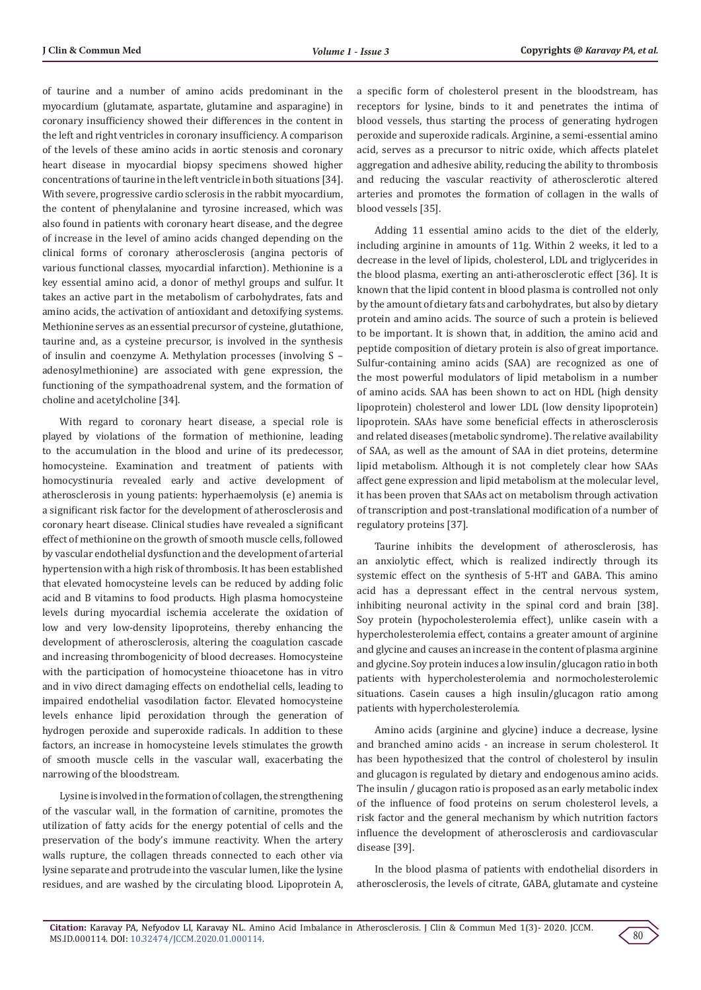of taurine and a number of amino acids predominant in the myocardium (glutamate, aspartate, glutamine and asparagine) in coronary insufficiency showed their differences in the content in the left and right ventricles in coronary insufficiency. A comparison of the levels of these amino acids in aortic stenosis and coronary heart disease in myocardial biopsy specimens showed higher concentrations of taurine in the left ventricle in both situations [34]. With severe, progressive cardio sclerosis in the rabbit myocardium, the content of phenylalanine and tyrosine increased, which was also found in patients with coronary heart disease, and the degree of increase in the level of amino acids changed depending on the clinical forms of coronary atherosclerosis (angina pectoris of various functional classes, myocardial infarction). Methionine is a key essential amino acid, a donor of methyl groups and sulfur. It takes an active part in the metabolism of carbohydrates, fats and amino acids, the activation of antioxidant and detoxifying systems. Methionine serves as an essential precursor of cysteine, glutathione, taurine and, as a cysteine precursor, is involved in the synthesis of insulin and coenzyme A. Methylation processes (involving S – adenosylmethionine) are associated with gene expression, the functioning of the sympathoadrenal system, and the formation of choline and acetylcholine [34].

With regard to coronary heart disease, a special role is played by violations of the formation of methionine, leading to the accumulation in the blood and urine of its predecessor, homocysteine. Examination and treatment of patients with homocystinuria revealed early and active development of atherosclerosis in young patients: hyperhaemolysis (e) anemia is a significant risk factor for the development of atherosclerosis and coronary heart disease. Clinical studies have revealed a significant effect of methionine on the growth of smooth muscle cells, followed by vascular endothelial dysfunction and the development of arterial hypertension with a high risk of thrombosis. It has been established that elevated homocysteine levels can be reduced by adding folic acid and B vitamins to food products. High plasma homocysteine levels during myocardial ischemia accelerate the oxidation of low and very low-density lipoproteins, thereby enhancing the development of atherosclerosis, altering the coagulation cascade and increasing thrombogenicity of blood decreases. Homocysteine with the participation of homocysteine thioacetone has in vitro and in vivo direct damaging effects on endothelial cells, leading to impaired endothelial vasodilation factor. Elevated homocysteine levels enhance lipid peroxidation through the generation of hydrogen peroxide and superoxide radicals. In addition to these factors, an increase in homocysteine levels stimulates the growth of smooth muscle cells in the vascular wall, exacerbating the narrowing of the bloodstream.

Lysine is involved in the formation of collagen, the strengthening of the vascular wall, in the formation of carnitine, promotes the utilization of fatty acids for the energy potential of cells and the preservation of the body's immune reactivity. When the artery walls rupture, the collagen threads connected to each other via lysine separate and protrude into the vascular lumen, like the lysine residues, and are washed by the circulating blood. Lipoprotein A, a specific form of cholesterol present in the bloodstream, has receptors for lysine, binds to it and penetrates the intima of blood vessels, thus starting the process of generating hydrogen peroxide and superoxide radicals. Arginine, a semi-essential amino acid, serves as a precursor to nitric oxide, which affects platelet aggregation and adhesive ability, reducing the ability to thrombosis and reducing the vascular reactivity of atherosclerotic altered arteries and promotes the formation of collagen in the walls of blood vessels [35].

Adding 11 essential amino acids to the diet of the elderly, including arginine in amounts of 11g. Within 2 weeks, it led to a decrease in the level of lipids, cholesterol, LDL and triglycerides in the blood plasma, exerting an anti-atherosclerotic effect [36]. It is known that the lipid content in blood plasma is controlled not only by the amount of dietary fats and carbohydrates, but also by dietary protein and amino acids. The source of such a protein is believed to be important. It is shown that, in addition, the amino acid and peptide composition of dietary protein is also of great importance. Sulfur-containing amino acids (SAA) are recognized as one of the most powerful modulators of lipid metabolism in a number of amino acids. SAA has been shown to act on HDL (high density lipoprotein) cholesterol and lower LDL (low density lipoprotein) lipoprotein. SAAs have some beneficial effects in atherosclerosis and related diseases (metabolic syndrome). The relative availability of SAA, as well as the amount of SAA in diet proteins, determine lipid metabolism. Although it is not completely clear how SAAs affect gene expression and lipid metabolism at the molecular level, it has been proven that SAAs act on metabolism through activation of transcription and post-translational modification of a number of regulatory proteins [37].

Taurine inhibits the development of atherosclerosis, has an anxiolytic effect, which is realized indirectly through its systemic effect on the synthesis of 5-HT and GABA. This amino acid has a depressant effect in the central nervous system, inhibiting neuronal activity in the spinal cord and brain [38]. Soy protein (hypocholesterolemia effect), unlike casein with a hypercholesterolemia effect, contains a greater amount of arginine and glycine and causes an increase in the content of plasma arginine and glycine. Soy protein induces a low insulin/glucagon ratio in both patients with hypercholesterolemia and normocholesterolemic situations. Casein causes a high insulin/glucagon ratio among patients with hypercholesterolemia.

Amino acids (arginine and glycine) induce a decrease, lysine and branched amino acids - an increase in serum cholesterol. It has been hypothesized that the control of cholesterol by insulin and glucagon is regulated by dietary and endogenous amino acids. The insulin / glucagon ratio is proposed as an early metabolic index of the influence of food proteins on serum cholesterol levels, a risk factor and the general mechanism by which nutrition factors influence the development of atherosclerosis and cardiovascular disease [39].

In the blood plasma of patients with endothelial disorders in atherosclerosis, the levels of citrate, GABA, glutamate and cysteine

80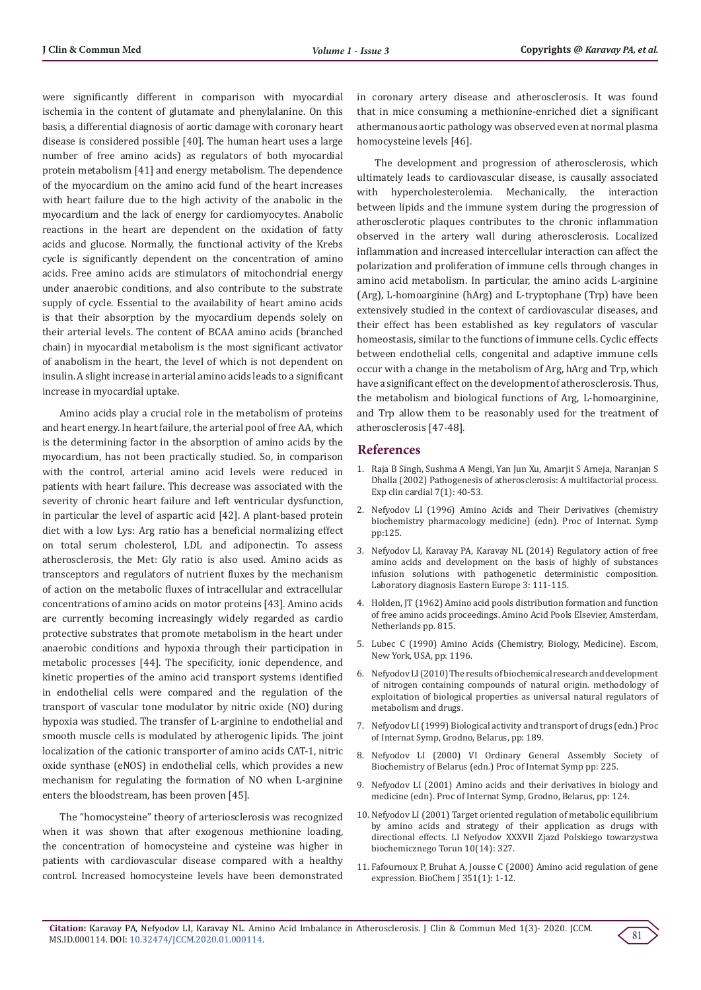were significantly different in comparison with myocardial ischemia in the content of glutamate and phenylalanine. On this basis, a differential diagnosis of aortic damage with coronary heart disease is considered possible [40]. The human heart uses a large number of free amino acids) as regulators of both myocardial protein metabolism [41] and energy metabolism. The dependence of the myocardium on the amino acid fund of the heart increases with heart failure due to the high activity of the anabolic in the myocardium and the lack of energy for cardiomyocytes. Anabolic reactions in the heart are dependent on the oxidation of fatty acids and glucose. Normally, the functional activity of the Krebs cycle is significantly dependent on the concentration of amino acids. Free amino acids are stimulators of mitochondrial energy under anaerobic conditions, and also contribute to the substrate supply of cycle. Essential to the availability of heart amino acids is that their absorption by the myocardium depends solely on their arterial levels. The content of BCAA amino acids (branched chain) in myocardial metabolism is the most significant activator of anabolism in the heart, the level of which is not dependent on insulin. A slight increase in arterial amino acids leads to a significant increase in myocardial uptake.

Amino acids play a crucial role in the metabolism of proteins and heart energy. In heart failure, the arterial pool of free AA, which is the determining factor in the absorption of amino acids by the myocardium, has not been practically studied. So, in comparison with the control, arterial amino acid levels were reduced in patients with heart failure. This decrease was associated with the severity of chronic heart failure and left ventricular dysfunction, in particular the level of aspartic acid [42]. A plant-based protein diet with a low Lys: Arg ratio has a beneficial normalizing effect on total serum cholesterol, LDL and adiponectin. To assess atherosclerosis, the Met: Gly ratio is also used. Amino acids as transceptors and regulators of nutrient fluxes by the mechanism of action on the metabolic fluxes of intracellular and extracellular concentrations of amino acids on motor proteins [43]. Amino acids are currently becoming increasingly widely regarded as cardio protective substrates that promote metabolism in the heart under anaerobic conditions and hypoxia through their participation in metabolic processes [44]. The specificity, ionic dependence, and kinetic properties of the amino acid transport systems identified in endothelial cells were compared and the regulation of the transport of vascular tone modulator by nitric oxide (NO) during hypoxia was studied. The transfer of L-arginine to endothelial and smooth muscle cells is modulated by atherogenic lipids. The joint localization of the cationic transporter of amino acids CAT-1, nitric oxide synthase (eNOS) in endothelial cells, which provides a new mechanism for regulating the formation of NO when L-arginine enters the bloodstream, has been proven [45].

The "homocysteine" theory of arteriosclerosis was recognized when it was shown that after exogenous methionine loading, the concentration of homocysteine and cysteine was higher in patients with cardiovascular disease compared with a healthy control. Increased homocysteine levels have been demonstrated in coronary artery disease and atherosclerosis. It was found that in mice consuming a methionine-enriched diet a significant athermanous aortic pathology was observed even at normal plasma homocysteine levels [46].

The development and progression of atherosclerosis, which ultimately leads to cardiovascular disease, is causally associated with hypercholesterolemia. Mechanically, the interaction between lipids and the immune system during the progression of atherosclerotic plaques contributes to the chronic inflammation observed in the artery wall during atherosclerosis. Localized inflammation and increased intercellular interaction can affect the polarization and proliferation of immune cells through changes in amino acid metabolism. In particular, the amino acids L-arginine (Arg), L-homoarginine (hArg) and L-tryptophane (Trp) have been extensively studied in the context of cardiovascular diseases, and their effect has been established as key regulators of vascular homeostasis, similar to the functions of immune cells. Cyclic effects between endothelial cells, congenital and adaptive immune cells occur with a change in the metabolism of Arg, hArg and Trp, which have a significant effect on the development of atherosclerosis. Thus, the metabolism and biological functions of Arg, L-homoarginine, and Trp allow them to be reasonably used for the treatment of atherosclerosis [47-48].

#### **References**

- 1. [Raja B Singh, Sushma A Mengi, Yan Jun Xu, Amarjit S Arneja, Naranjan S](https://www.ncbi.nlm.nih.gov/pubmed/19644578) [Dhalla \(2002\) Pathogenesis of atherosclerosis: A multifactorial process.](https://www.ncbi.nlm.nih.gov/pubmed/19644578) [Exp clin cardial 7\(1\): 40-53.](https://www.ncbi.nlm.nih.gov/pubmed/19644578)
- 2. Nefyodov LI (1996) Amino Acids and Their Derivatives (chemistry biochemistry pharmacology medicine) (edn). Proc of Internat. Symp pp:125.
- 3. Nefyodov LI, Karavay PA, Karavay NL (2014) Regulatory action of free amino acids and development on the basis of highly of substances infusion solutions with pathogenetic deterministic composition. Laboratory diagnosis Eastern Europe 3: 111-115.
- 4. Holden, JT (1962) Amino acid pools distribution formation and function of free amino acids proceedings. Amino Acid Pools Elsevier, Amsterdam, Netherlands pp. 815.
- 5. Lubec C (1990) Amino Acids (Chemistry, Biology, Medicine). Escom, New York, USA, pp: 1196.
- 6. Nefyodov LI (2010) The results of biochemical research and development of nitrogen containing compounds of natural origin. methodology of exploitation of biological properties as universal natural regulators of metabolism and drugs.
- 7. Nefyodov LI (1999) Biological activity and transport of drugs (edn.) Proc of Internat Symp, Grodno, Belarus, pp: 189.
- 8. Nefyodov LI (2000) VI Ordinary General Assembly Society of Biochemistry of Belarus (edn.) Proc of Internat Symp pp: 225.
- 9. Nefyodov LI (2001) Amino acids and their derivatives in biology and medicine (edn). Proc of Internat Symp, Grodno, Belarus, pp: 124.
- 10. Nefyodov LI (2001) Target oriented regulation of metabolic equilibrium by amino acids and strategy of their application as drugs with directional effects. LI Nefyodov XXXVII Zjazd Polskiego towarzystwa biochemicznego Torun 10(14): 327.
- 11. [Fafournoux P, Bruhat A, Jousse C \(2000\) Amino acid regulation of gene](https://www.ncbi.nlm.nih.gov/pubmed/10998343) [expression. BioChem J 351\(1\): 1-12.](https://www.ncbi.nlm.nih.gov/pubmed/10998343)

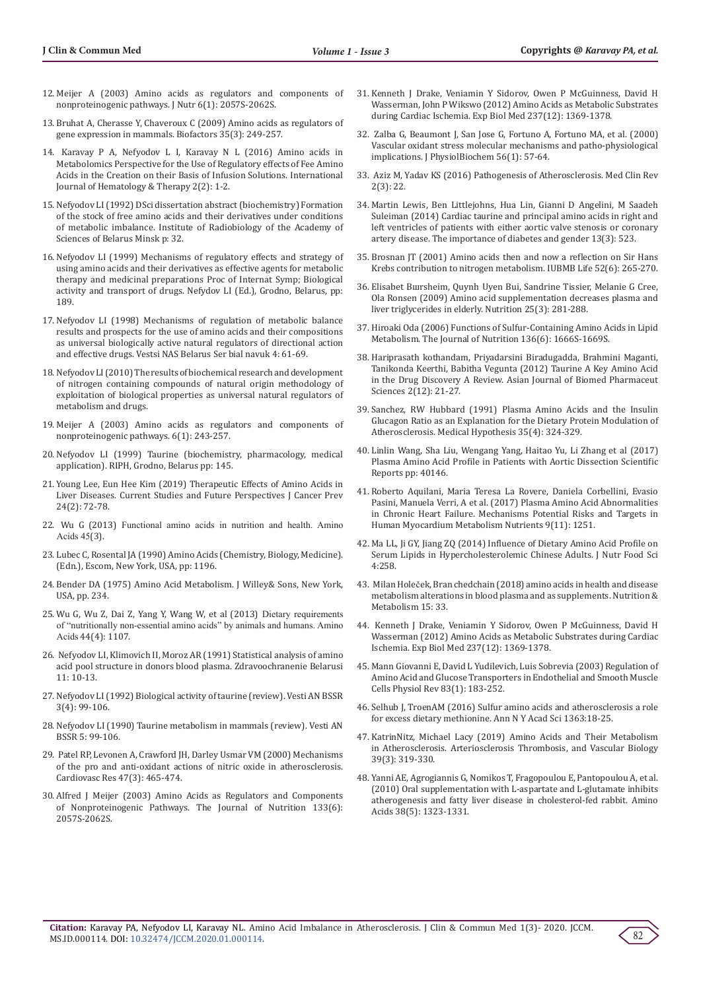- 12. [Meijer A \(2003\) Amino acids as regulators and components of](https://www.ncbi.nlm.nih.gov/pubmed/12771365)  [nonproteinogenic pathways. J Nutr 6\(1\): 2057S-2062S.](https://www.ncbi.nlm.nih.gov/pubmed/12771365)
- 13. [Bruhat A, Cherasse Y, Chaveroux C \(2009\) Amino acids as regulators of](https://www.ncbi.nlm.nih.gov/pubmed/19415732)  [gene expression in mammals. Biofactors 35\(3\): 249-257.](https://www.ncbi.nlm.nih.gov/pubmed/19415732)
- 14. [Karavay P A, Nefyodov L I, Karavay N L \(2016\) Amino acids in](https://www.ommegaonline.org/article-details/Amino-Acids-in-Metabolomics-Perspective-for-the-Use-of-Regulatory-Effects-of-Free-Amino-Acids-in-the-Creation-on-their-Basis-of-Infusion-Solutions/850)  [Metabolomics Perspective for the Use of Regulatory effects of Fee Amino](https://www.ommegaonline.org/article-details/Amino-Acids-in-Metabolomics-Perspective-for-the-Use-of-Regulatory-Effects-of-Free-Amino-Acids-in-the-Creation-on-their-Basis-of-Infusion-Solutions/850)  [Acids in the Creation on their Basis of Infusion Solutions. International](https://www.ommegaonline.org/article-details/Amino-Acids-in-Metabolomics-Perspective-for-the-Use-of-Regulatory-Effects-of-Free-Amino-Acids-in-the-Creation-on-their-Basis-of-Infusion-Solutions/850)  [Journal of Hematology & Therapy 2\(2\): 1-2.](https://www.ommegaonline.org/article-details/Amino-Acids-in-Metabolomics-Perspective-for-the-Use-of-Regulatory-Effects-of-Free-Amino-Acids-in-the-Creation-on-their-Basis-of-Infusion-Solutions/850)
- 15. Nefyodov LI (1992) DSci dissertation abstract (biochemistry) Formation of the stock of free amino acids and their derivatives under conditions of metabolic imbalance. Institute of Radiobiology of the Academy of Sciences of Belarus Minsk p: 32.
- 16. Nefyodov LI (1999) Mechanisms of regulatory effects and strategy of using amino acids and their derivatives as effective agents for metabolic therapy and medicinal preparations Proc of Internat Symp; Biological activity and transport of drugs. Nefydov LI (Ed.), Grodno, Belarus, pp: 189.
- 17. Nefyodov LI (1998) Mechanisms of regulation of metabolic balance results and prospects for the use of amino acids and their compositions as universal biologically active natural regulators of directional action and effective drugs. Vestsi NAS Belarus Ser bial navuk 4: 61-69.
- 18. Nefyodov LI (2010) The results of biochemical research and development of nitrogen containing compounds of natural origin methodology of exploitation of biological properties as universal natural regulators of metabolism and drugs.
- 19. [Meijer A \(2003\) Amino acids as regulators and components of](https://www.ncbi.nlm.nih.gov/pubmed/12771365)  [nonproteinogenic pathways. 6\(1\): 243-257.](https://www.ncbi.nlm.nih.gov/pubmed/12771365)
- 20. Nefyodov LI (1999) Taurine (biochemistry, pharmacology, medical application). RIPH, Grodno, Belarus pp: 145.
- 21. [Young Lee, Eun Hee Kim \(2019\) Therapeutic Effects of Amino Acids in](https://www.ncbi.nlm.nih.gov/pubmed/31360687)  [Liver Diseases. Current Studies and Future Perspectives J Cancer Prev](https://www.ncbi.nlm.nih.gov/pubmed/31360687)  [24\(2\): 72-78.](https://www.ncbi.nlm.nih.gov/pubmed/31360687)
- 22. Wu G (2013) [Functional amino acids in nutrition and health.](https://www.ncbi.nlm.nih.gov/pubmed/23595206) Amino [Acids](https://www.ncbi.nlm.nih.gov/pubmed/23595206) 45(3).
- 23. Lubec C, Rosental JA (1990) Amino Acids (Chemistry, Biology, Medicine). (Edn.), Escom, New York, USA, pp: 1196.
- 24. Bender DA (1975) Amino Acid Metabolism. J Willey& Sons, New York, USA, pp. 234.
- 25. [Wu G, Wu Z, Dai Z, Yang Y, Wang W, et al \(2013\)](https://www.ncbi.nlm.nih.gov/pubmed/23247926) Dietary requirements [of "nutritionally non-essential amino acids" by animals and humans.](https://www.ncbi.nlm.nih.gov/pubmed/23247926) Amino Acids [44\(4\): 1107.](https://www.ncbi.nlm.nih.gov/pubmed/23247926)
- 26. Nefyodov LI, Klimovich II, Moroz AR (1991) Statistical analysis of amino acid pool structure in donors blood plasma. Zdravoochranenie Belarusi 11: 10-13.
- 27. Nefyodov LI (1992) Biological activity of taurine (review). Vesti АN BSSR 3(4): 99-106.
- 28. Nefyodov LI (1990) Taurine metabolism in mammals (review). Vesti АN BSSR 5: 99-106.
- 29. [Patel RP, Levonen A, Crawford JH, Darley Usmar VM \(2000\) Mechanisms](https://www.ncbi.nlm.nih.gov/pubmed/10963720)  [of the pro and anti-oxidant actions of nitric oxide in atherosclerosis.](https://www.ncbi.nlm.nih.gov/pubmed/10963720)  [Cardiovasc Res 47\(3\): 465-474.](https://www.ncbi.nlm.nih.gov/pubmed/10963720)
- 30. [Alfred J Meijer \(2003\) Amino Acids as Regulators and Components](https://academic.oup.com/jn/article/133/6/2057S/4688224)  [of Nonproteinogenic Pathways. The Journal of Nutrition 133\(6\):](https://academic.oup.com/jn/article/133/6/2057S/4688224)  [2057S-2062S.](https://academic.oup.com/jn/article/133/6/2057S/4688224)
- 31. [Kenneth J Drake, Veniamin Y Sidorov, Owen P McGuinness, David H](https://www.ncbi.nlm.nih.gov/pubmed/23354395) [Wasserman, John P Wikswo \(2012\) Amino Acids as Metabolic Substrates](https://www.ncbi.nlm.nih.gov/pubmed/23354395) [during Cardiac Ischemia. Exp Biol Med 237\(12\): 1369-1378.](https://www.ncbi.nlm.nih.gov/pubmed/23354395)
- 32. [Zalba G, Beaumont J, San Jose G, Fortuno A, Fortuno MA, et al. \(2000\)](https://www.ncbi.nlm.nih.gov/pubmed/10879682) [Vascular oxidant stress molecular mechanisms and patho-physiological](https://www.ncbi.nlm.nih.gov/pubmed/10879682) [implications. J PhysiolBiochem 56\(1\): 57-64.](https://www.ncbi.nlm.nih.gov/pubmed/10879682)
- 33. [Aziz M, Yadav KS \(2016\) Pathogenesis of Atherosclerosis. Med Clin Rev](https://medical-clinical-reviews.imedpub.com/pathogenesis-of-atherosclerosisa-review.pdf) [2\(3\): 22.](https://medical-clinical-reviews.imedpub.com/pathogenesis-of-atherosclerosisa-review.pdf)
- 34. [Martin Lewis, Ben Littlejohns, Hua Lin, Gianni D Angelini, M Saadeh](https://www.ncbi.nlm.nih.gov/pubmed/25279314) [Suleiman \(2014\) Cardiac taurine and principal amino acids in right and](https://www.ncbi.nlm.nih.gov/pubmed/25279314) [left ventricles of patients with either aortic valve stenosis or coronary](https://www.ncbi.nlm.nih.gov/pubmed/25279314) [artery disease. The importance of diabetes and gender 13\(3\): 523.](https://www.ncbi.nlm.nih.gov/pubmed/25279314)
- 35. [Brosnan JT \(2001\) Amino acids then and now a reflection on Sir Hans](https://www.ncbi.nlm.nih.gov/pubmed/11895074) [Krebs contribution to nitrogen metabolism.](https://www.ncbi.nlm.nih.gov/pubmed/11895074) IUBMB Life 52(6): 265-270.
- 36. [Elisabet Bшrsheim, Quynh Uyen Bui, Sandrine Tissier, Melanie G Cree,](https://www.ncbi.nlm.nih.gov/pubmed/19041223) [Ola Ronsen \(2009\) Amino acid supplementation decreases plasma and](https://www.ncbi.nlm.nih.gov/pubmed/19041223) [liver triglycerides in elderly. Nutrition 25\(3\): 281-288.](https://www.ncbi.nlm.nih.gov/pubmed/19041223)
- 37. [Hiroaki Oda \(2006\) Functions of Sulfur-Containing Amino Acids in Lipid](https://www.researchgate.net/publication/7079864_Functions_of_Sulfur-Containing_Amino_Acids_in_Lipid_Metabolism) [Metabolism. The Journal of Nutrition 136\(6\): 1666S-1669S.](https://www.researchgate.net/publication/7079864_Functions_of_Sulfur-Containing_Amino_Acids_in_Lipid_Metabolism)
- 38. [Hariprasath kothandam, Priyadarsini Biradugadda, Brahmini Maganti,](https://www.alliedacademies.org/abstract/taurine-a-key-amino-acid-in-the-drug-discovery--a-review-4811.html) [Tanikonda Keerthi, Babitha Vegunta \(2012\) Taurine A Key Amino Acid](https://www.alliedacademies.org/abstract/taurine-a-key-amino-acid-in-the-drug-discovery--a-review-4811.html) [in the Drug Discovery A Review. Asian Journal of Biomed Pharmaceut](https://www.alliedacademies.org/abstract/taurine-a-key-amino-acid-in-the-drug-discovery--a-review-4811.html) [Sciences 2\(12\): 21-27.](https://www.alliedacademies.org/abstract/taurine-a-key-amino-acid-in-the-drug-discovery--a-review-4811.html)
- 39. [Sanchez, RW Hubbard \(1991\) Plasma Amino Acids and the Insulin](https://www.ncbi.nlm.nih.gov/pubmed/1943885) [Glucagon Ratio as an Explanation for the Dietary Protein Modulation of](https://www.ncbi.nlm.nih.gov/pubmed/1943885) [Atherosclerosis. Medical Hypothesis 35\(4\): 324-329.](https://www.ncbi.nlm.nih.gov/pubmed/1943885)
- 40. [Linlin Wang, Sha Liu, Wengang Yang, Haitao Yu, Li Zhang et al \(2017\)](https://www.nature.com/articles/srep40146) [Plasma Amino Acid Profile in Patients with Aortic Dissection Scientific](https://www.nature.com/articles/srep40146) [Reports pp: 40146.](https://www.nature.com/articles/srep40146)
- 41. [Roberto Aquilani, Maria Teresa La Rovere, Daniela Corbellini, Evasio](https://www.ncbi.nlm.nih.gov/pubmed/29140312) [Pasini, Manuela Verri, A et al. \(2017\) Plasma Amino Acid Abnormalities](https://www.ncbi.nlm.nih.gov/pubmed/29140312) [in Chronic Heart Failure. Mechanisms Potential Risks and Targets in](https://www.ncbi.nlm.nih.gov/pubmed/29140312) [Human Myocardium Metabolism Nutrients 9\(11\): 1251.](https://www.ncbi.nlm.nih.gov/pubmed/29140312)
- 42. [Ma LL, Ji GY, Jiang ZQ \(2014\) Influence of Dietary Amino Acid Profile on](https://www.researchgate.net/publication/314442724_Influence_of_Dietary_Amino_Acid_Profile_on_Serum_Lipids_in_Hypercholesterolemic_Chinese_Adults) [Serum Lipids in Hypercholesterolemic Chinese Adults. J Nutr Food Sci](https://www.researchgate.net/publication/314442724_Influence_of_Dietary_Amino_Acid_Profile_on_Serum_Lipids_in_Hypercholesterolemic_Chinese_Adults) [4:258.](https://www.researchgate.net/publication/314442724_Influence_of_Dietary_Amino_Acid_Profile_on_Serum_Lipids_in_Hypercholesterolemic_Chinese_Adults)
- 43. Milan Holeček, Bran chedchain (2018) amino acids in health and disease metabolism alterations in blood plasma and as supplements. Nutrition & Metabolism 15: 33.
- 44. [Kenneth J Drake, Veniamin Y Sidorov, Owen P McGuinness, David H](https://www.ncbi.nlm.nih.gov/pubmed/23354395) [Wasserman \(2012\) Amino Acids as Metabolic Substrates during Cardiac](https://www.ncbi.nlm.nih.gov/pubmed/23354395) [Ischemia. Exp Biol Med 237\(12\): 1369-1378.](https://www.ncbi.nlm.nih.gov/pubmed/23354395)
- 45. [Mann Giovanni E, David L Yudilevich, Luis Sobrevia \(2003\) Regulation of](https://www.ncbi.nlm.nih.gov/pubmed/12506130) [Amino Acid and Glucose Transporters in Endothelial and Smooth Muscle](https://www.ncbi.nlm.nih.gov/pubmed/12506130) [Cells Physiol Rev 83\(1\): 183-252.](https://www.ncbi.nlm.nih.gov/pubmed/12506130)
- 46. [Selhub J, TroenAM \(2016\) Sulfur amino acids and atherosclerosis a role](https://www.ncbi.nlm.nih.gov/pubmed/26647293) [for excess dietary methionine. Ann N Y Acad Sci 1363:18-25.](https://www.ncbi.nlm.nih.gov/pubmed/26647293)
- 47. [KatrinNitz, Michael Lacy \(2019\) Amino Acids and Their Metabolism](https://www.ncbi.nlm.nih.gov/pubmed/30650999) [in Atherosclerosis. Arteriosclerosis Thrombosis, and Vascular Biology](https://www.ncbi.nlm.nih.gov/pubmed/30650999) [39\(3\): 319-330.](https://www.ncbi.nlm.nih.gov/pubmed/30650999)
- 48. [Yanni AE, Agrogiannis G, Nomikos T, Fragopoulou E, Pantopoulou A, et al.](https://www.ncbi.nlm.nih.gov/pubmed/19701712) [\(2010\) Oral supplementation with L-aspartate and L-glutamate inhibits](https://www.ncbi.nlm.nih.gov/pubmed/19701712) [atherogenesis and fatty liver disease in cholesterol-fed rabbit. Amino](https://www.ncbi.nlm.nih.gov/pubmed/19701712) [Acids 38\(5\): 1323-1331.](https://www.ncbi.nlm.nih.gov/pubmed/19701712)